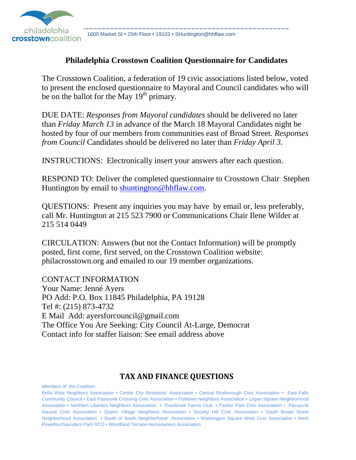

philadelphia 1600 Market St • 25th Floor • 19103 • SHuntington@hhflaw.com<br>Crosstowncoalition 1600 Market St • 25th Floor • 19103 • SHuntington@hhflaw.com

#### **Philadelphia Crosstown Coalition Questionnaire for Candidates**

The Crosstown Coalition, a federation of 19 civic associations listed below, voted to present the enclosed questionnaire to Mayoral and Council candidates who will be on the ballot for the May  $19<sup>th</sup>$  primary.

DUE DATE: *Responses from Mayoral candidates* should be delivered no later than *Friday March 13* in advance of the March 18 Mayoral Candidates night be hosted by four of our members from communities east of Broad Street. *Responses from Council* Candidates should be delivered no later than *Friday April 3.*

INSTRUCTIONS: Electronically insert your answers after each question.

RESPOND TO: Deliver the completed questionnaire to Crosstown Chair Stephen Huntington by email to shuntington@hhflaw.com.

QUESTIONS: Present any inquiries you may have by email or, less preferably, call Mr. Huntington at 215 523 7900 or Communications Chair Ilene Wilder at 215 514 0449

CIRCULATION: Answers (but not the Contact Information) will be promptly posted, first come, first served, on the Crosstown Coalition website: philacrosstown.org and emailed to our 19 member organizations.

CONTACT INFORMATION Your Name: Jenné Ayers PO Add: P.O. Box 11845 Philadelphia, PA 19128 Tel #: (215) 873-4732 E Mail Add: ayersforcouncil@gmail.com The Office You Are Seeking: City Council At-Large, Democrat Contact info for staffer liaison: See email address above

#### **TAX AND FINANCE QUESTIONS**

*Members of the Coalition:*

Bella Vista Neighbors Association • Center City Residents' Association • Central Roxborough Civic Association • East Falls Community Council • East Passyunk Crossing Civic Association • Fishtown Neighbors Association • Logan Square Neighborhood Association • Northern Liberties Neighbors Association • Overbrook Farms Club • Packer Park Civic Association • Passyunk Square Civic Association • Queen Village Neighbors Association • Society Hill Civic Association • South Broad Street Neighborhood Association • South of South Neighborhood Association • Washington Square West Civic Association • West Powelton/Saunders Park RCO • Woodland Terrace Homeowners Association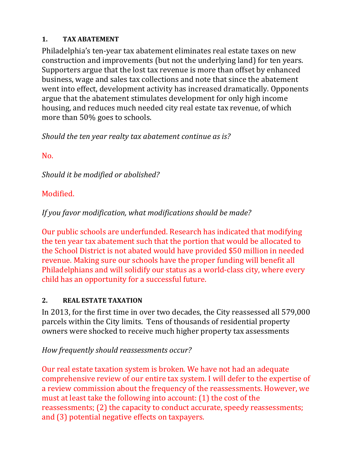### **1. TAX ABATEMENT**

Philadelphia's ten-year tax abatement eliminates real estate taxes on new construction and improvements (but not the underlying land) for ten years. Supporters argue that the lost tax revenue is more than offset by enhanced business, wage and sales tax collections and note that since the abatement went into effect, development activity has increased dramatically. Opponents argue that the abatement stimulates development for only high income housing, and reduces much needed city real estate tax revenue, of which more than 50% goes to schools.

*Should the ten year realty tax abatement continue as is?*

No. 

*Should it be modified or abolished?*

# Modified.

*If you favor modification, what modifications should be made?* 

Our public schools are underfunded. Research has indicated that modifying the ten year tax abatement such that the portion that would be allocated to the School District is not abated would have provided \$50 million in needed revenue. Making sure our schools have the proper funding will benefit all Philadelphians and will solidify our status as a world-class city, where every child has an opportunity for a successful future.

## **2. REAL ESTATE TAXATION**

In 2013, for the first time in over two decades, the City reassessed all 579,000 parcels within the City limits. Tens of thousands of residential property owners were shocked to receive much higher property tax assessments

# *How frequently should reassessments occur?*

Our real estate taxation system is broken. We have not had an adequate comprehensive review of our entire tax system. I will defer to the expertise of a review commission about the frequency of the reassessments. However, we must at least take the following into account:  $(1)$  the cost of the reassessments; (2) the capacity to conduct accurate, speedy reassessments; and (3) potential negative effects on taxpayers.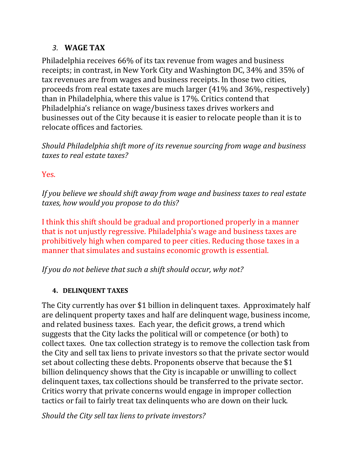### *3.* **WAGE TAX**

Philadelphia receives 66% of its tax revenue from wages and business receipts; in contrast, in New York City and Washington DC, 34% and 35% of tax revenues are from wages and business receipts. In those two cities, proceeds from real estate taxes are much larger  $(41\%$  and  $36\%$ , respectively) than in Philadelphia, where this value is 17%. Critics contend that Philadelphia's reliance on wage/business taxes drives workers and businesses out of the City because it is easier to relocate people than it is to relocate offices and factories.

*Should Philadelphia shift more of its revenue sourcing from wage and business taxes to real estate taxes?* 

### Yes.

*If you believe we should shift away from wage and business taxes to real estate taxes, how would you propose to do this?* 

I think this shift should be gradual and proportioned properly in a manner that is not unjustly regressive. Philadelphia's wage and business taxes are prohibitively high when compared to peer cities. Reducing those taxes in a manner that simulates and sustains economic growth is essential.

*If you do not believe that such a shift should occur, why not?*

### **4. DELINQUENT TAXES**

The City currently has over \$1 billion in delinquent taxes. Approximately half are delinquent property taxes and half are delinquent wage, business income, and related business taxes. Each year, the deficit grows, a trend which suggests that the City lacks the political will or competence (or both) to collect taxes. One tax collection strategy is to remove the collection task from the City and sell tax liens to private investors so that the private sector would set about collecting these debts. Proponents observe that because the \$1 billion delinquency shows that the City is incapable or unwilling to collect delinquent taxes, tax collections should be transferred to the private sector. Critics worry that private concerns would engage in improper collection tactics or fail to fairly treat tax delinquents who are down on their luck.

*Should the City sell tax liens to private investors?*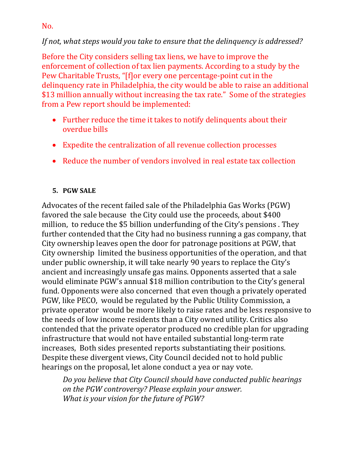### *If not, what steps would you take to ensure that the delinquency is addressed?*

Before the City considers selling tax liens, we have to improve the enforcement of collection of tax lien payments. According to a study by the Pew Charitable Trusts, "[f]or every one percentage-point cut in the delinquency rate in Philadelphia, the city would be able to raise an additional \$13 million annually without increasing the tax rate." Some of the strategies from a Pew report should be implemented:

- $\bullet$  Further reduce the time it takes to notify delinquents about their overdue bills
- Expedite the centralization of all revenue collection processes
- Reduce the number of vendors involved in real estate tax collection

### **5. PGW SALE**

Advocates of the recent failed sale of the Philadelphia Gas Works (PGW) favored the sale because the City could use the proceeds, about \$400 million, to reduce the \$5 billion underfunding of the City's pensions. They further contended that the City had no business running a gas company, that City ownership leaves open the door for patronage positions at PGW, that City ownership limited the business opportunities of the operation, and that under public ownership, it will take nearly 90 years to replace the City's ancient and increasingly unsafe gas mains. Opponents asserted that a sale would eliminate PGW's annual \$18 million contribution to the City's general fund. Opponents were also concerned that even though a privately operated PGW, like PECO, would be regulated by the Public Utility Commission, a private operator would be more likely to raise rates and be less responsive to the needs of low income residents than a City owned utility. Critics also contended that the private operator produced no credible plan for upgrading infrastructure that would not have entailed substantial long-term rate increases. Both sides presented reports substantiating their positions. Despite these divergent views, City Council decided not to hold public hearings on the proposal, let alone conduct a yea or nay vote.

*Do you believe that City Council should have conducted public hearings on the PGW controversy? Please explain your answer. What is your vision for the future of PGW?* 

No.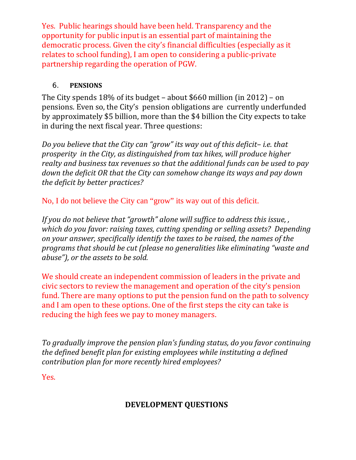Yes. Public hearings should have been held. Transparency and the opportunity for public input is an essential part of maintaining the democratic process. Given the city's financial difficulties (especially as it relates to school funding), I am open to considering a public-private partnership regarding the operation of PGW.

### 6. **PENSIONS**

The City spends  $18\%$  of its budget – about \$660 million (in 2012) – on pensions. Even so, the City's pension obligations are currently underfunded by approximately \$5 billion, more than the \$4 billion the City expects to take in during the next fiscal year. Three questions:

*Do you believe that the City can "grow" its way out of this deficit– i.e. that prosperity in the City, as distinguished from tax hikes, will produce higher realty and business tax revenues so that the additional funds can be used to pay down the deficit OR that the City can somehow change its ways and pay down the deficit by better practices?*

No, I do not believe the City can "grow" its way out of this deficit.

*If you do not believe that "growth" alone will suffice to address this issue, , which do you favor: raising taxes, cutting spending or selling assets? Depending on your answer, specifically identify the taxes to be raised, the names of the programs that should be cut (please no generalities like eliminating "waste and abuse"), or the assets to be sold.*

We should create an independent commission of leaders in the private and civic sectors to review the management and operation of the city's pension fund. There are many options to put the pension fund on the path to solvency and I am open to these options. One of the first steps the city can take is reducing the high fees we pay to money managers.

*To gradually improve the pension plan's funding status, do you favor continuing the defined benefit plan for existing employees while instituting a defined contribution plan for more recently hired employees?*

Yes.

## **DEVELOPMENT QUESTIONS**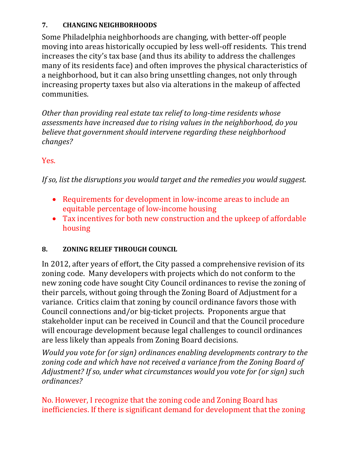### **7. CHANGING NEIGHBORHOODS**

Some Philadelphia neighborhoods are changing, with better-off people moving into areas historically occupied by less well-off residents. This trend increases the city's tax base (and thus its ability to address the challenges many of its residents face) and often improves the physical characteristics of a neighborhood, but it can also bring unsettling changes, not only through increasing property taxes but also via alterations in the makeup of affected communities. 

*Other than providing real estate tax relief to long‐time residents whose assessments have increased due to rising values in the neighborhood, do you believe that government should intervene regarding these neighborhood changes?*

### Yes.

*If so, list the disruptions you would target and the remedies you would suggest.* 

- Requirements for development in low-income areas to include an equitable percentage of low-income housing
- Tax incentives for both new construction and the upkeep of affordable housing

### **8. ZONING RELIEF THROUGH COUNCIL**

In 2012, after years of effort, the City passed a comprehensive revision of its zoning code. Many developers with projects which do not conform to the new zoning code have sought City Council ordinances to revise the zoning of their parcels, without going through the Zoning Board of Adjustment for a variance. Critics claim that zoning by council ordinance favors those with Council connections and/or big-ticket projects. Proponents argue that stakeholder input can be received in Council and that the Council procedure will encourage development because legal challenges to council ordinances are less likely than appeals from Zoning Board decisions.

*Would you vote for (or sign) ordinances enabling developments contrary to the zoning code and which have not received a variance from the Zoning Board of Adjustment? If so, under what circumstances would you vote for (or sign) such ordinances?*

No. However, I recognize that the zoning code and Zoning Board has inefficiencies. If there is significant demand for development that the zoning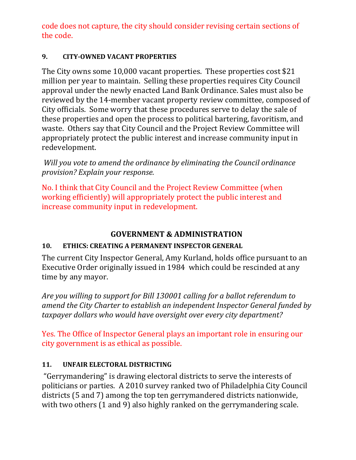code does not capture, the city should consider revising certain sections of the code.

### **9. CITY‐OWNED VACANT PROPERTIES**

The City owns some  $10,000$  vacant properties. These properties cost \$21 million per year to maintain. Selling these properties requires City Council approval under the newly enacted Land Bank Ordinance. Sales must also be reviewed by the 14-member vacant property review committee, composed of City officials. Some worry that these procedures serve to delay the sale of these properties and open the process to political bartering, favoritism, and waste. Others say that City Council and the Project Review Committee will appropriately protect the public interest and increase community input in redevelopment. 

*Will you vote to amend the ordinance by eliminating the Council ordinance provision? Explain your response.*

No. I think that City Council and the Project Review Committee (when working efficiently) will appropriately protect the public interest and increase community input in redevelopment.

# **GOVERNMENT & ADMINISTRATION**

### **10. ETHICS: CREATING A PERMANENT INSPECTOR GENERAL**

The current City Inspector General, Amy Kurland, holds office pursuant to an Executive Order originally issued in 1984 which could be rescinded at any time by any mayor.

*Are you willing to support for Bill 130001 calling for a ballot referendum to amend the City Charter to establish an independent Inspector General funded by taxpayer dollars who would have oversight over every city department?* 

Yes. The Office of Inspector General plays an important role in ensuring our city government is as ethical as possible.

### 11. **UNFAIR ELECTORAL DISTRICTING**

"Gerrymandering" is drawing electoral districts to serve the interests of politicians or parties. A 2010 survey ranked two of Philadelphia City Council districts (5 and 7) among the top ten gerrymandered districts nationwide, with two others  $(1 \text{ and } 9)$  also highly ranked on the gerrymandering scale.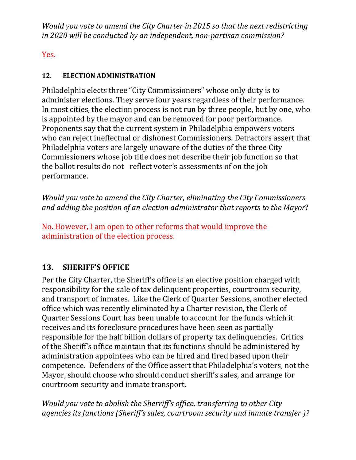*Would you vote to amend the City Charter in 2015 so that the next redistricting in 2020 will be conducted by an independent, non‐partisan commission?* 

Yes. 

### 12. **ELECTION ADMINISTRATION**

Philadelphia elects three "City Commissioners" whose only duty is to administer elections. They serve four years regardless of their performance. In most cities, the election process is not run by three people, but by one, who is appointed by the mayor and can be removed for poor performance. Proponents say that the current system in Philadelphia empowers voters who can reject ineffectual or dishonest Commissioners. Detractors assert that Philadelphia voters are largely unaware of the duties of the three City Commissioners whose job title does not describe their job function so that the ballot results do not reflect voter's assessments of on the job performance. 

*Would you vote to amend the City Charter, eliminating the City Commissioners and adding the position of an election administrator that reports to the Mayor*? 

No. However, I am open to other reforms that would improve the administration of the election process.

## 13. **SHERIFF'S OFFICE**

Per the City Charter, the Sheriff's office is an elective position charged with responsibility for the sale of tax delinquent properties, courtroom security, and transport of inmates. Like the Clerk of Quarter Sessions, another elected office which was recently eliminated by a Charter revision, the Clerk of Quarter Sessions Court has been unable to account for the funds which it receives and its foreclosure procedures have been seen as partially responsible for the half billion dollars of property tax delinquencies. Critics of the Sheriff's office maintain that its functions should be administered by administration appointees who can be hired and fired based upon their competence. Defenders of the Office assert that Philadelphia's voters, not the Mayor, should choose who should conduct sheriff's sales, and arrange for courtroom security and inmate transport.

*Would you vote to abolish the Sherriff's office, transferring to other City agencies its functions (Sheriff's sales, courtroom security and inmate transfer )?*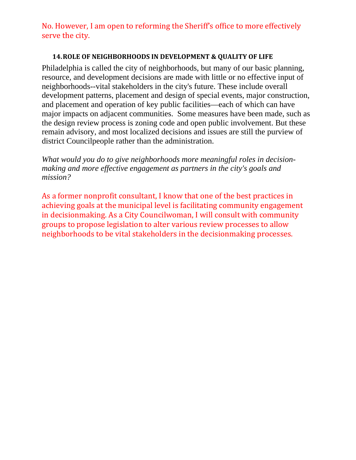No. However, I am open to reforming the Sheriff's office to more effectively serve the city.

#### **14.ROLE OF NEIGHBORHOODS IN DEVELOPMENT & QUALITY OF LIFE**

Philadelphia is called the city of neighborhoods, but many of our basic planning, resource, and development decisions are made with little or no effective input of neighborhoods--vital stakeholders in the city's future. These include overall development patterns, placement and design of special events, major construction, and placement and operation of key public facilities—each of which can have major impacts on adjacent communities. Some measures have been made, such as the design review process is zoning code and open public involvement. But these remain advisory, and most localized decisions and issues are still the purview of district Councilpeople rather than the administration.

*What would you do to give neighborhoods more meaningful roles in decisionmaking and more effective engagement as partners in the city's goals and mission?* 

As a former nonprofit consultant, I know that one of the best practices in achieving goals at the municipal level is facilitating community engagement in decisionmaking. As a City Councilwoman, I will consult with community groups to propose legislation to alter various review processes to allow neighborhoods to be vital stakeholders in the decisionmaking processes.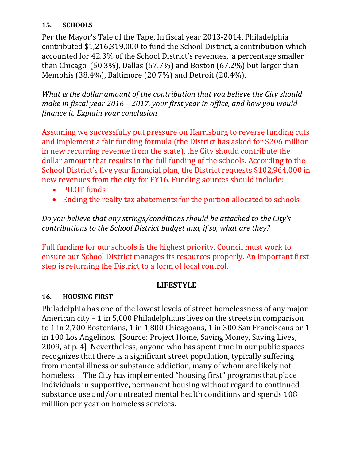#### **15. SCHOOLS**

Per the Mayor's Tale of the Tape, In fiscal year 2013-2014, Philadelphia contributed \$1,216,319,000 to fund the School District, a contribution which accounted for 42.3% of the School District's revenues, a percentage smaller than Chicago  $(50.3\%)$ , Dallas  $(57.7\%)$  and Boston  $(67.2\%)$  but larger than Memphis (38.4%), Baltimore (20.7%) and Detroit (20.4%).

*What is the dollar amount of the contribution that you believe the City should make in fiscal year 2016 – 2017, your first year in office, and how you would finance it. Explain your conclusion*

Assuming we successfully put pressure on Harrisburg to reverse funding cuts and implement a fair funding formula (the District has asked for \$206 million in new recurring revenue from the state), the City should contribute the dollar amount that results in the full funding of the schools. According to the School District's five year financial plan, the District requests \$102,964,000 in new revenues from the city for FY16. Funding sources should include:

- PILOT funds
- Ending the realty tax abatements for the portion allocated to schools

*Do you believe that any strings/conditions should be attached to the City's contributions to the School District budget and, if so, what are they?*

Full funding for our schools is the highest priority. Council must work to ensure our School District manages its resources properly. An important first step is returning the District to a form of local control.

### **LIFESTYLE**

#### **16. HOUSING FIRST**

Philadelphia has one of the lowest levels of street homelessness of any major American city  $-1$  in 5,000 Philadelphians lives on the streets in comparison to 1 in 2,700 Bostonians, 1 in 1,800 Chicagoans, 1 in 300 San Franciscans or 1 in 100 Los Angelinos. [Source: Project Home, Saving Money, Saving Lives, 2009, at p. 4] Nevertheless, anyone who has spent time in our public spaces recognizes that there is a significant street population, typically suffering from mental illness or substance addiction, many of whom are likely not homeless. The City has implemented "housing first" programs that place individuals in supportive, permanent housing without regard to continued substance use and/or untreated mental health conditions and spends 108 miillion per year on homeless services.